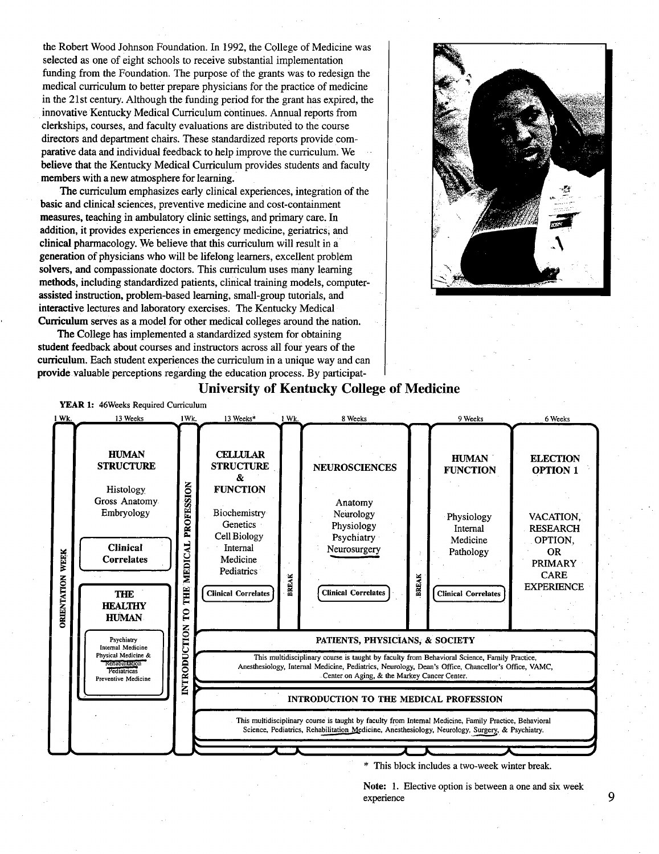the Robert Wood Johnson Foundation. In 1992, the College of Medicine was selected as one of eight schools to receive substantial implementation funding from the Foundation. The purpose of the grants was to redesign the medical curriculum to better prepare physicians for the practice of medicine in the 21st century. Although the funding period for the grant has expired, the innovative Kentucky Medical Curriculum continues. Annual reports from clerkships, courses, and faculty evaluations are distributed to the course directors and department chairs. These standardized reports provide comparative data and individual feedback to help improve the curriculum. We believe that the Kentucky Medical Curriculum provides students and faculty members with a new atmosphere for learning.

The curriculum emphasizes early clinical experiences, integration of the basic and clinical sciences, preventive medicine and cost-containment measures, teaching in ambulatory clinic settings, and primary care. In addition, it provides experiences in emergency medicine, geriatrics, and clinical pharmacology. We believe that this curriculum will result in a generation of physicians who will be lifelong learners, excellent problem solvers, and compassionate doctors. This curriculum uses many learning methods, including standardized patients, clinical training models, computerassisted instruction, problem-based learning, small-group tutorials, and interactive lectures and laboratory exercises. The Kentucky Medical Curriculum serves as a model for other medical colleges around the nation.

The College has implemented a standardized system for obtaining student feedback about courses and instructors across all four years of the curriculum. Each student experiences the curriculum in a unique way and can provide valuable perceptions regarding the education process. By participat-







Note: 1. Elective option is between a one and six week experience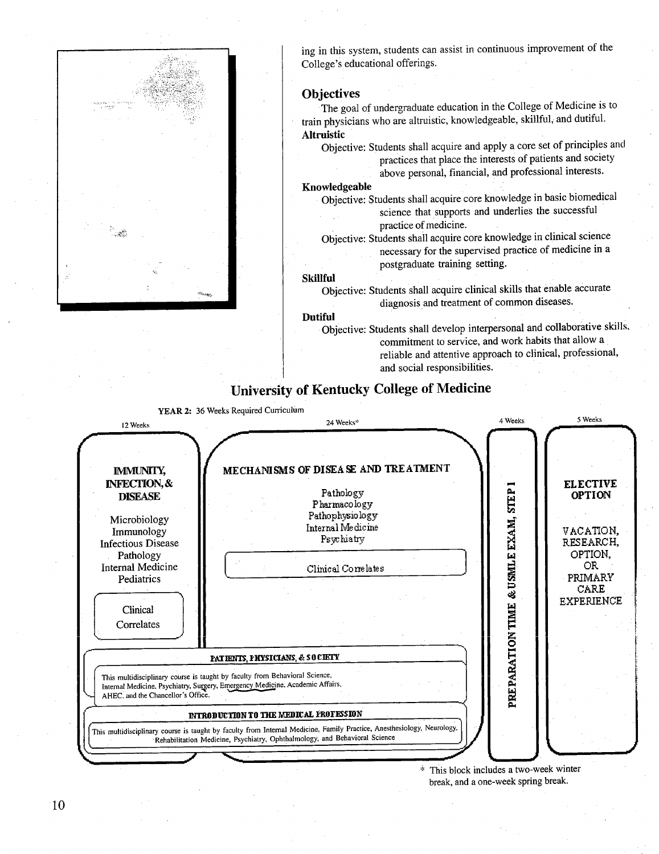

ing in this system, students can assist in continuous improvement of the College's educational offerings.

#### Objectives

The goal of undergraduate education in the College of Medicine is to train physicians who are altruistic, knowledgeable, skillful, and dutiful. Altruistic

Objective: Students shall acquire and apply a core set of principles and practices that place the interests of patients and society above personal, financial, and professional interests.

#### Knowledgeable

Objective: Students shall acquire core knowledge in basic biomedical science that supports and underlies the successful practice of medicine.

Objective: Students shall acquire core knowledge in clinical science necessary for the supervised practice of medicine in a postgraduate training setting.

#### Skillful

Objective: Students shall acquire clinical skills that enable accurate diagnosis and treatment of common diseases.

#### Dutiful

Objective: Students shall develop interpersonal and collaborative skills. commitment to service, and work habits that allow a reliable and attentive approach to clinical, professional, and social responsibilities.

## University of Kentucky College of Medicine





\* This block includes a two-week winter break, and a one-week spring break.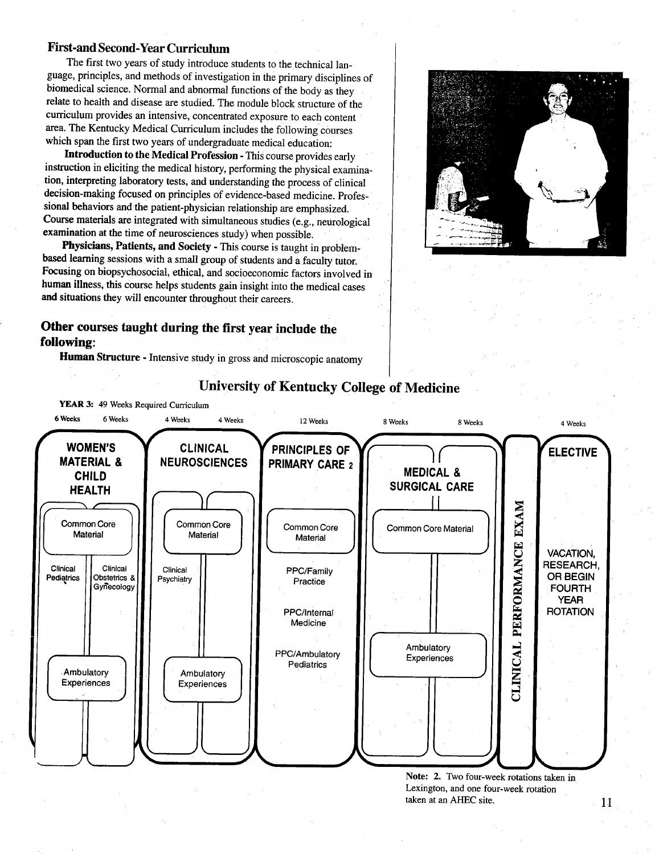### First-and Second-Year Curriculum

The first two years of study introduce students to the technical language, principles, and methods of investigation in the primary disciplines of biomedical science. Normal and abnormal functions of the body as they relate to health and disease are studied. The module block structure of the curriculum provides an intensive, concentrated exposure to each content area. The Kentucky Medical Curriculum includes the following courses which span the first two years of undergraduate medical education:

Introduction to the Medical Profession - This course provides early instruction in eliciting the medical history, performing the physical examination, interpreting laboratory tests, and understanding the process of clinical decision-making focused on principles of evidence-based medicine. Professional behaviors and the patient-physician relationship are emphasized. Course materials are integrated with simultaneous studies (e.g., neurological examination at the time of neurosciences study) when possible.

Physicians, Patients, and Society - This course is taught in problembased learning sessions with a small group of students and a faculty tutor. Focusing on biopsychosocial, ethical, and socioeconomic factors involved in human illness, this course helps students gain insight into the medical cases and situations they will encounter throughout their careers.

## Other courses taught during the first year include the following

Human Structure - Intensive study in gross and microscopic anatomy





## University of Kentucky College of Medicine

Note: 2. Two four-week rotations taken in Lexington, and one four-week rotation taken at an AHEC site.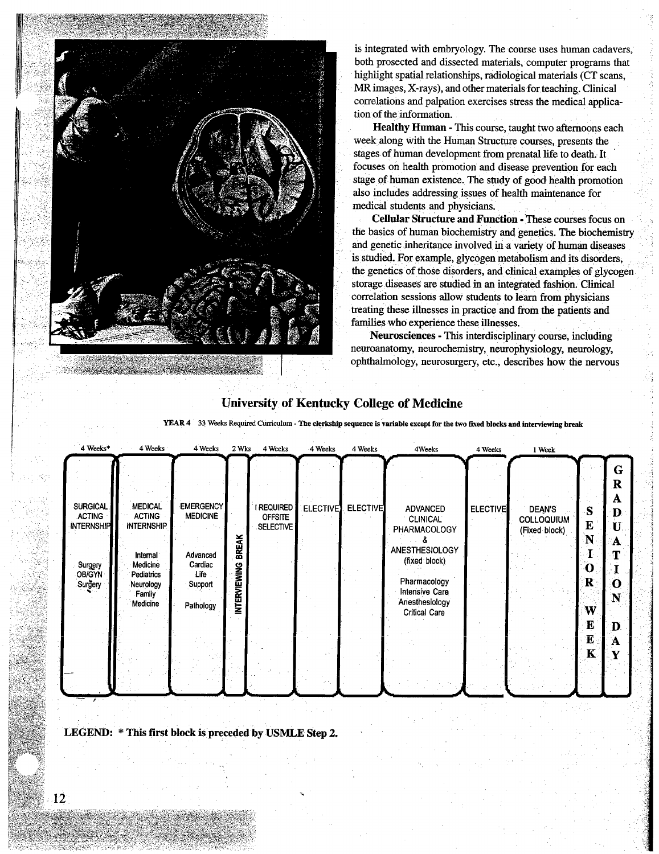

is integrated with embryology. The course uses human cadavers, both prosected and dissected materials, computer programs that highlight spatial relationships, radiological materials (CT scans, MR images, X-rays), and other materials for teaching. Clinical correlations and palpation exercises stress the medical application of the information.

Healthy Human - This course, taught two afternoons each week along with the Human Structure courses, presents the stages of human development from prenatal life to death. It focuses on health promotion and disease prevention for each stage of human existence. The study of good health promotion also includes addressing issues of health maintenance for medical students and physicians.

Cellular Structure and Function - These courses focus on the basics of human biochemistry and genetics. The biochemistry and genetic inheritance involved in a variety of human diseases is studied. For example, glycogen metabolism and its disorders, the genetics of those disorders, and clinical examples of glycogen storage diseases are studied in an integrated fashion. Clinical correlation sessions allow students to learn from physicians treating these illnesses in practice and from the patients and families who experience these illnesses.

Neurosciences - This interdisciplinary course, including neuroanatomy, neurochemistry, neurophysiology, neurology, ophthalmology, neurosurgery, etc., describes how the nervous

# University of Kentucky College of Medicine

YEAR 4 33 Weeks Required Curriculum - The clerkship sequence is variable except for the two fixed blocks and interviewing break

| 4 Weeks*                                                                                              | 4 Weeks                                                                                                                       | 4 Weeks                                                                                    | 2 Wks                       | 4 Weeks                                     | 4 Weeks         | 4 Weeks         | 4Weeks                                                                                                                                                      | 4 Weeks         | 1 Week                                              |                                                                 |                                                                |
|-------------------------------------------------------------------------------------------------------|-------------------------------------------------------------------------------------------------------------------------------|--------------------------------------------------------------------------------------------|-----------------------------|---------------------------------------------|-----------------|-----------------|-------------------------------------------------------------------------------------------------------------------------------------------------------------|-----------------|-----------------------------------------------------|-----------------------------------------------------------------|----------------------------------------------------------------|
| <b>SURGICAL</b><br><b>ACTING</b><br><b>INTERNSHIP</b><br>Surgery<br>OB/GYN<br>Surgery<br>$\mathbf{r}$ | <b>MEDICAL</b><br><b>ACTING</b><br><b>INTERNSHIP</b><br>Internal<br>Medicine<br>Pediatrics<br>Neurology<br>Family<br>Medicine | <b>EMERGENCY</b><br><b>MEDICINE</b><br>Advanced<br>Cardiac<br>Life<br>Support<br>Pathology | <b>BREAK</b><br>NTERVIEWING | I REQUIRED  <br><b>OFFSITE</b><br>SELECTIVE | <b>ELECTIVE</b> | <b>ELECTIVE</b> | <b>ADVANCED</b><br><b>CLINICAL</b><br>PHARMACOLOGY<br>ANESTHESIOLOGY<br>(fixed: block)<br>Pharmacology<br>Intensive Care<br>Anesthesiology<br>Critical Care | <b>ELECTIVE</b> | <b>DEAN'S</b><br><b>COLLOQUIUM</b><br>(Fixed block) | S<br>E<br>'N<br>O<br>R<br>W<br>$\mathbf{E}$<br>E<br>$\mathbf K$ | G<br>R<br>A<br>Ð<br>$\mathbf{U}$<br>А<br>Т<br>O<br>N<br>D<br>Α |

LEGEND:  $*$  This first block is preceded by USMLE Step 2.

c----

 $\epsilon$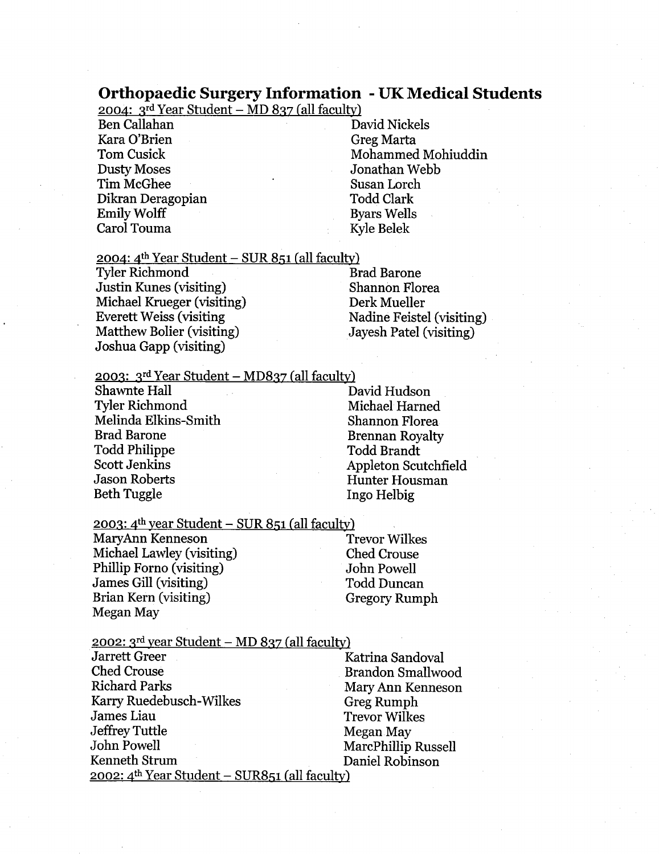## Orthopaedic Surgery Information - UK Medical Students

2004:  $3^{rd}$  Year Student – MD 837 (all faculty)

Ben Callahan David Nickels Kara O'Brien Greg Marta Dusty Moses Jonathan Webb Tim McGhee Susan Lorch Dikran Deragopian Todd Clark Emily Wolff Byars Wells Carol Touma Kyle Belek

Tom Cusick Mohammed Mohiuddin

2004:  $4^{\text{th}}$  Year Student – SUR 851 (all faculty)

Tyler Richmond Brad Barone Justin Kunes (visiting) Shannon Florea Michael Krueger (visiting) Derk Mueller Everett Weiss (visiting Nadine Feistel (visiting)<br>
Matthew Bolier (visiting) Javesh Patel (visiting) Matthew Bolier (visiting) Joshua Gapp (visiting)

2003:  $3^{rd}$  Year Student – MD837 (all faculty)

Shawnte Hall David Hudson Tyler Richmond Michael Harned Melinda Elkins-Smith Shannon Florea Brad Barone Brennan Royalty Todd Philippe Todd Brandt Scott Jenkins<br>
Jason Roberts<br>
Jason Roberts<br>
Hunter Housman Beth Tuggle Ingo Helbig

Hunter Housman

 $2003$ : 4<sup>th</sup> year Student – SUR 851 (all faculty)

MaryAnn Kenneson Trevor Wilkes Michael Lawley (visiting) Ched Crouse Phillip Forno (visiting) John Powell James Gill (visiting) Todd Duncan Brian Kern (visiting) Gregory Rumph Megan May

 $2002$ : 3<sup>rd</sup> year Student – MD 837 (all faculty)

Jarrett Greer Katrina Sandoval Ched Crouse Brandon Smallwood Richard Parks Mary Ann Kenneson Karry Ruedebusch-Wilkes Greg Rumph<br>James Liau Ruedebusch-Wilke Greg Rumph Jeffrey Tuttle Megan May<br>John Powell MarcPhillin John Powell<br>
Kenneth Strum<br>
MarcPhillip Russell<br>
Naniel Robinson  $2002$ :  $4<sup>th</sup> Year Student – SUR851 (all faculty)$ 

**Trevor Wilkes** Daniel Robinson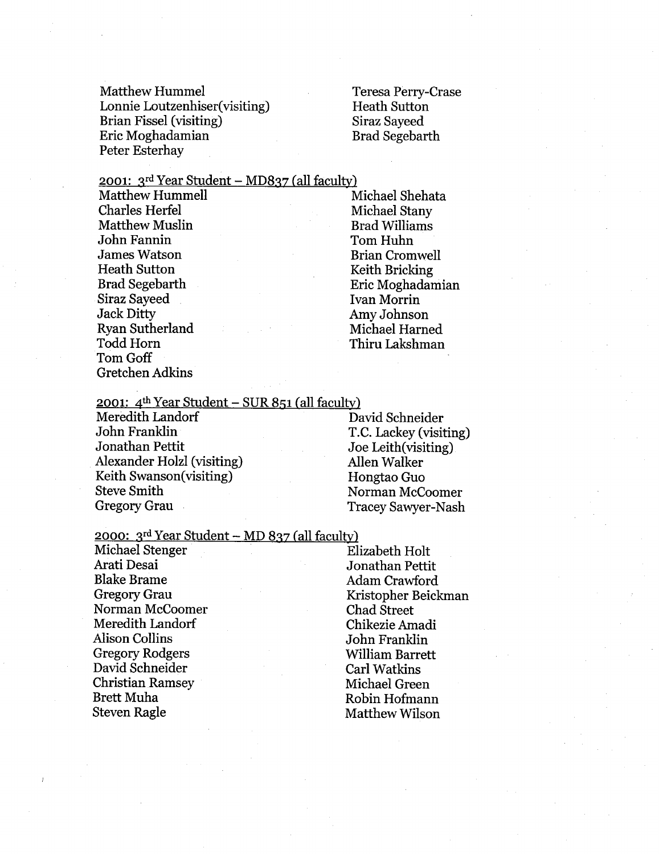Matthew Hummel Teresa Perry-Crase Lonnie Loutzenhiser(visiting) Heath Sutton Brian Fissel (visiting) Siraz Sayeed Eric Moghadamian Brad Segebarth Peter Esterhay

2001:  $3^{rd}$  Year Student – MD837 (all faculty)

Charles Herfel Michael Stany Matthew Muslin Brad Williams John Fannin Tom Huhn James Watson Brian Cromwell Heath Sutton Keith Bricking Siraz Sayeed Ivan Morrin Jack Ditty Amy Johnson Ryan Sutherland Michael Harned Todd Horn Thiru Lakshman Tom Goff Gretchen Adkins

Matthew Hummell Michael Shehata Brad Segebarth Eric Moghadamian

2001:  $4^{\text{th}}$  Year Student – SUR 851 (all faculty)

Meredith Landorf David Schneider John Franklin T.C. Lackey (visiting) Jonathan Pettit Joe Leith(visiting) Alexander Holzl (visiting) Allen Walker Keith Swanson(visiting) Hongtao Guo Steve Smith Norman McCoomer

Gregory Grau Tracey Sawyer-Nash

2000:  $3^{rd}$  Year Student – MD 837 (all faculty)

Michael Stenger Elizabeth Holt Arati Desai Jonathan Pettit Blake Brame Adam Crawford Gregory Grau Kristopher Beickman<br>Norman McCoomer Chad Street Norman McCoomer Meredith Landorf Chikezie Amadi Alison Collins Collin John Franklin Gregory Rodgers **Rodgers** William Barrett David Schneider Carl Watkins Christian Ramsey Michael Green Brett Muha Robin Hofmann Steven Ragle Matthew Wilson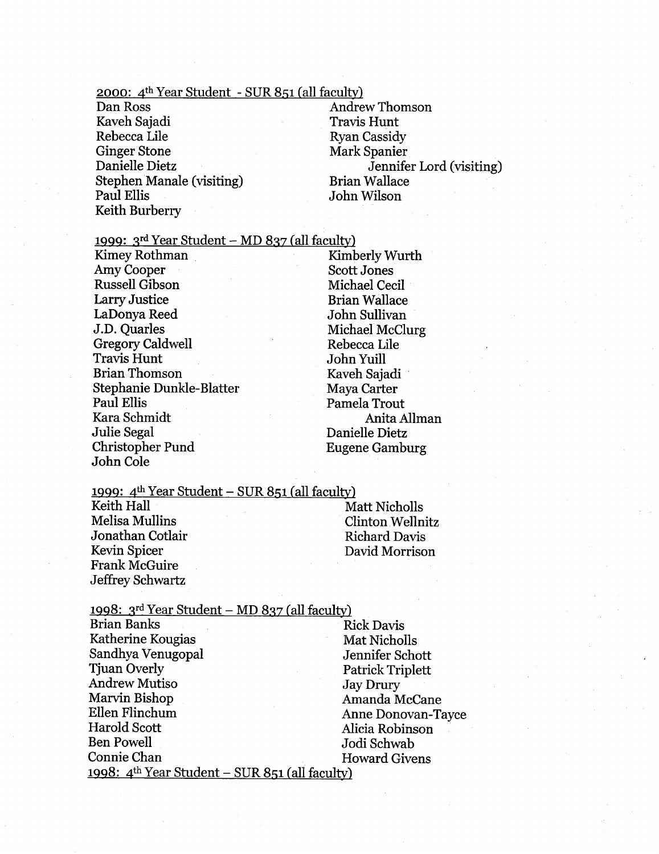### $2000$ :  $4<sup>th</sup> Year Student - SUR 851 (all faculty)$

Dan Ross Andrew Thomson Kaveh Sajadi Travis Hunt Rebecca Lile Ryan Cassidy Ginger Stone Mark Spanier Stephen Manale (visiting) Brian Wallace Paul Ellis John Wilson Keith Burberry

Danielle Dietz Jennifer Lord (visiting)

### 1999:  $3^{rd}$  Year Student – MD 837 (all faculty)

Kimey Rothman Amy Cooper Russell Gibson Larry Justice LaDonya Reed J.D. Quarles Gregory Caidwell **Travis Hunt** Brian Thomson Stephanie Dunkle-Blatter Paul Ellis Kara Schmidt Julie Segal Christopher Pund John Cole

KimberlyWurth Scott Jones Michael Cecil Brian Wallace John Sullivan Michael McClurg Rebecca Lile John Yuill Kaveh Sajadi Maya Carter Pamela Trout Anita Ailman Danielle Dietz Eugene Gamburg

### 1999:  $4<sup>th</sup> Year Student - SUR 851 (all faculty)$

Keith Hall Matt Nicholls Nicholls Melisa Mullins Clinton Wellnitz Jonathan Cotlair **Richard Davis** Richard Davis Kevin Spicer David Morrison Frank McGuire Jeffrey Schwartz

| 1998: 3rd Year Student - MD 837 (all faculty)                     |                         |
|-------------------------------------------------------------------|-------------------------|
| <b>Brian Banks</b>                                                | <b>Rick Davis</b>       |
| Katherine Kougias                                                 | Mat Nicholls            |
| Sandhya Venugopal                                                 | Jennifer Schott         |
| <b>Tjuan Overly</b>                                               | <b>Patrick Triplett</b> |
| <b>Andrew Mutiso</b>                                              | <b>Jay Drury</b>        |
| Marvin Bishop                                                     | Amanda McCane           |
| Ellen Flinchum                                                    | Anne Donovan-Tayce      |
| Harold Scott                                                      | Alicia Robinson         |
| <b>Ben Powell</b>                                                 | Jodi Schwab             |
| Connie Chan                                                       | <b>Howard Givens</b>    |
| <u> 1998: 4<sup>th</sup> Year Student – SUR 851 (all faculty)</u> |                         |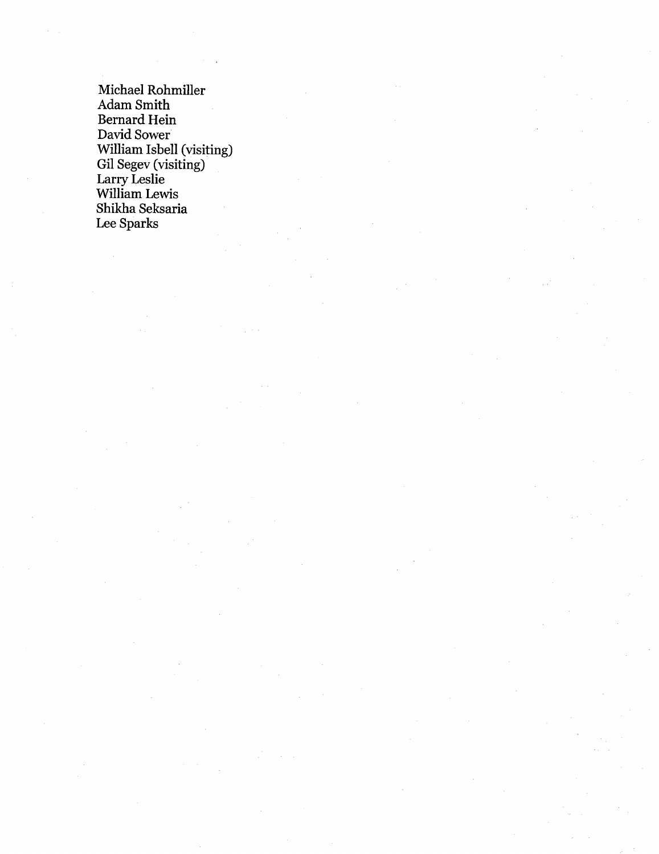Michael Rohmille Adam Smith Bernard Hein David Sower William Isbell (visiting Gil Segev (visiting Larry Lesli william Lewis Shikha Seksaria Lee Sparks

J.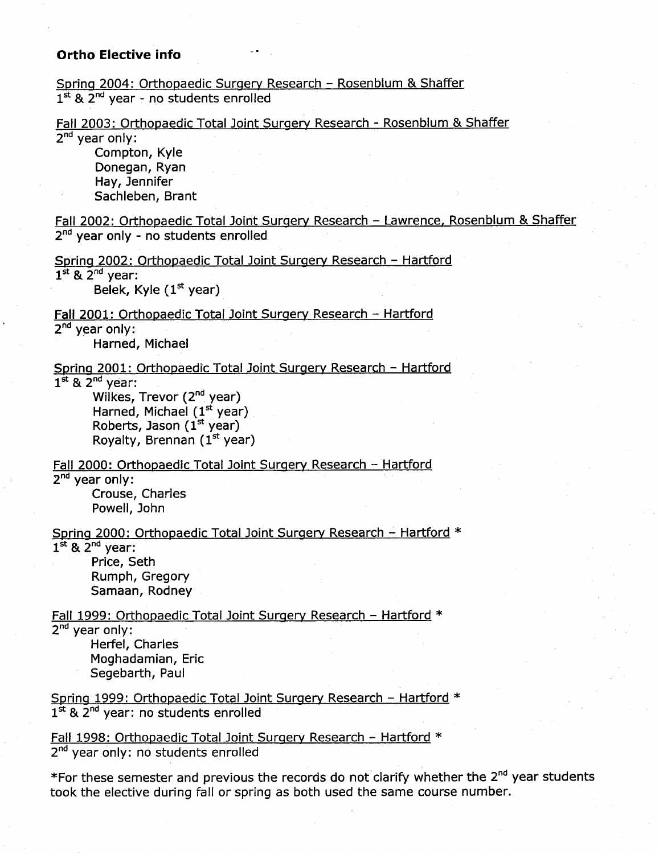### Ortho Elective info

Spring 2004: Orthopaedic Surgery Research - Rosenblum & Shaffer  $1<sup>st</sup>$  &  $2<sup>nd</sup>$  vear - no students enrolled

Fall 2003: Orthopaedic Total Joint Surgery Research - Rosenblum & Shaffer  $2^{nd}$  year only:

Compton, Kyle Donegan, Ryan Hay, Jennifer Sachleben, Brant

Fall 2002: Orthopaedic Total Joint Surgery Research - Lawrence, Rosenblum & Shaffer  $2<sup>nd</sup>$  year only - no students enrolled

Spring 2002: Orthopaedic Total Joint Surgery Research - Hartford  $1^{st}$  &  $2^{nd}$  year:

Belek, Kyle  $(1<sup>st</sup>$  year)

Fall 2001: Orthopaedic Total Joint Surgery Research - Hartford  $2<sup>nd</sup>$  year only:

Harned, Michael

Spring 2001: Orthopaedic Total Joint Surgery Research - Hartford  $1^{st}$  &  $2^{nd}$  year:

Wilkes, Trevor (2<sup>nd</sup> year) Harned, Michael  $(1<sup>st</sup>$  year)

Roberts, Jason  $(1<sup>st</sup>$  year) Royalty, Brennan  $(1<sup>st</sup>$  year)

Fall 2000: Orthopaedic Total Joint Surgery Research - Hartford

 $2^{nd}$  vear only:

Crouse, Charles Powell, John

Spring 2000: Orthopaedic Total Joint Surgery Research - Hartford \*

 $1<sup>st</sup>$  &  $2<sup>nd</sup>$  year: Price, Seth

> Rumph, Gregory Samaan, Rodney

Fall 1999: Orthopaedic Total Joint Surgery Research - Hartford \*

 $2^{nd}$  year only:

Herfel, Charles Moghadamian, Eric Segebarth, Paul

Spring 1999: Orthopaedic Total Joint Surgery Research - Hartford \*  $1<sup>st</sup>$  &  $2<sup>nd</sup>$  year: no students enrolled

Fall 1998: Orthopaedic Total Joint Surgery Research - Hartford  $*$ 2<sup>nd</sup> year only: no students enrolled

\*For these semester and previous the records do not clarify whether the 2<sup>nd</sup> year students took the elective during fall or spring as both used the same course number.